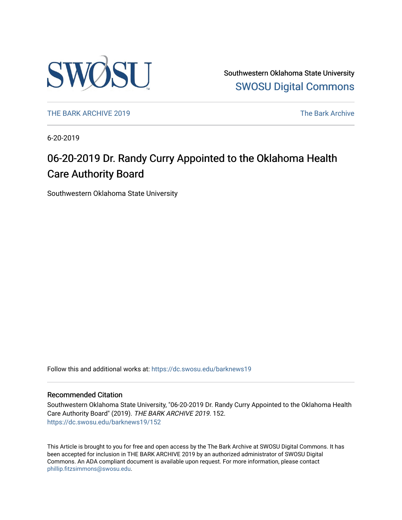

Southwestern Oklahoma State University [SWOSU Digital Commons](https://dc.swosu.edu/) 

[THE BARK ARCHIVE 2019](https://dc.swosu.edu/barknews19) The Bark Archive

6-20-2019

# 06-20-2019 Dr. Randy Curry Appointed to the Oklahoma Health Care Authority Board

Southwestern Oklahoma State University

Follow this and additional works at: [https://dc.swosu.edu/barknews19](https://dc.swosu.edu/barknews19?utm_source=dc.swosu.edu%2Fbarknews19%2F152&utm_medium=PDF&utm_campaign=PDFCoverPages)

#### Recommended Citation

Southwestern Oklahoma State University, "06-20-2019 Dr. Randy Curry Appointed to the Oklahoma Health Care Authority Board" (2019). THE BARK ARCHIVE 2019. 152. [https://dc.swosu.edu/barknews19/152](https://dc.swosu.edu/barknews19/152?utm_source=dc.swosu.edu%2Fbarknews19%2F152&utm_medium=PDF&utm_campaign=PDFCoverPages)

This Article is brought to you for free and open access by the The Bark Archive at SWOSU Digital Commons. It has been accepted for inclusion in THE BARK ARCHIVE 2019 by an authorized administrator of SWOSU Digital Commons. An ADA compliant document is available upon request. For more information, please contact [phillip.fitzsimmons@swosu.edu](mailto:phillip.fitzsimmons@swosu.edu).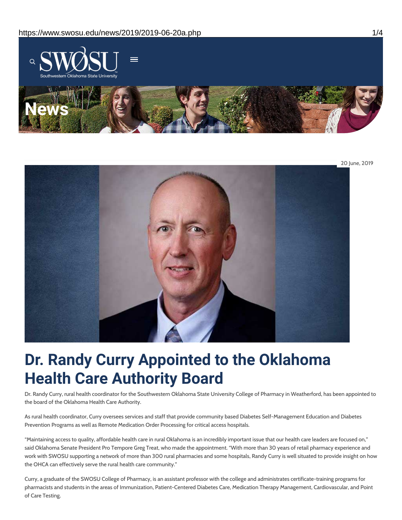

# **Dr. Randy Curry Appointed to the Oklahoma Health Care Authority Board**

Dr. Randy Curry, rural health coordinator for the Southwestern Oklahoma State University College of Pharmacy in Weatherford, has been appointed to the board of the Oklahoma Health Care Authority.

As rural health coordinator, Curry oversees services and staff that provide community based Diabetes Self-Management Education and Diabetes Prevention Programs as well as Remote Medication Order Processing for critical access hospitals.

"Maintaining access to quality, affordable health care in rural Oklahoma is an incredibly important issue that our health care leaders are focused on," said Oklahoma Senate President Pro Tempore Greg Treat, who made the appointment. "With more than 30 years of retail pharmacy experience and work with SWOSU supporting a network of more than 300 rural pharmacies and some hospitals, Randy Curry is well situated to provide insight on how the OHCA can effectively serve the rural health care community."

Curry, a graduate of the SWOSU College of Pharmacy, is an assistant professor with the college and administrates certificate-training programs for pharmacists and students in the areas of Immunization, Patient-Centered Diabetes Care, Medication Therapy Management, Cardiovascular, and Point of Care Testing.

20 June, 2019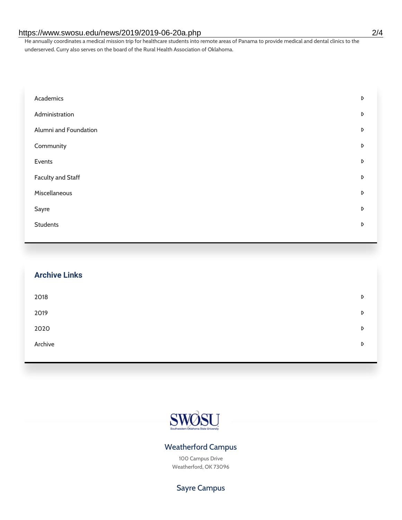#### https://www.swosu.edu/news/2019/2019-06-20a.php 2/4

He annually coordinates a medical mission trip for healthcare students into remote areas of Panama to provide medical and dental clinics to the underserved. Curry also serves on the board of the Rural Health Association of Oklahoma.

| Academics             | D |
|-----------------------|---|
| Administration        | D |
| Alumni and Foundation | D |
| Community             | D |
| Events                | D |
| Faculty and Staff     | D |
| Miscellaneous         | D |
| Sayre                 | D |
| <b>Students</b>       | D |

| <b>Archive Links</b> |   |
|----------------------|---|
| 2018                 | D |
| 2019                 | D |
| 2020                 | D |
| Archive              | D |
|                      |   |



### Weatherford Campus

100 Campus Drive Weatherford, OK 73096

## Sayre Campus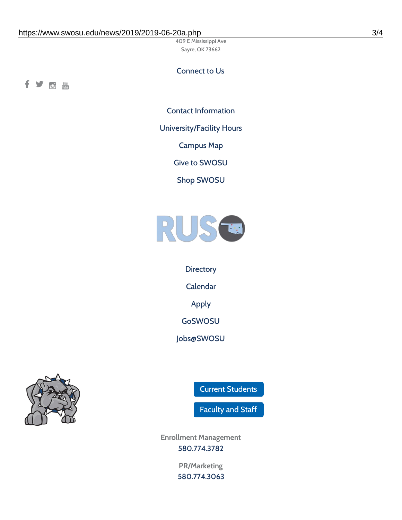409 E Mississippi Ave Sayre, OK 73662

#### Connect to Us

fyom

Contact [Information](https://www.swosu.edu/about/contact.php)

[University/Facility](https://www.swosu.edu/about/operating-hours.php) Hours

[Campus](https://map.concept3d.com/?id=768#!ct/10964,10214,10213,10212,10205,10204,10203,10202,10136,10129,10128,0,31226,10130,10201,10641,0) Map

Give to [SWOSU](https://standingfirmly.com/donate)

Shop [SWOSU](https://shopswosu.merchorders.com/)



**[Directory](https://www.swosu.edu/directory/index.php)** [Calendar](https://eventpublisher.dudesolutions.com/swosu/) [Apply](https://www.swosu.edu/admissions/apply-to-swosu.php) [GoSWOSU](https://qlsso.quicklaunchsso.com/home/1267) [Jobs@SWOSU](https://swosu.csod.com/ux/ats/careersite/1/home?c=swosu)



Current [Students](https://bulldog.swosu.edu/index.php)

[Faculty](https://bulldog.swosu.edu/faculty-staff/index.php) and Staff

**Enrollment Management** [580.774.3782](tel:5807743782)

> **PR/Marketing** [580.774.3063](tel:5807743063)